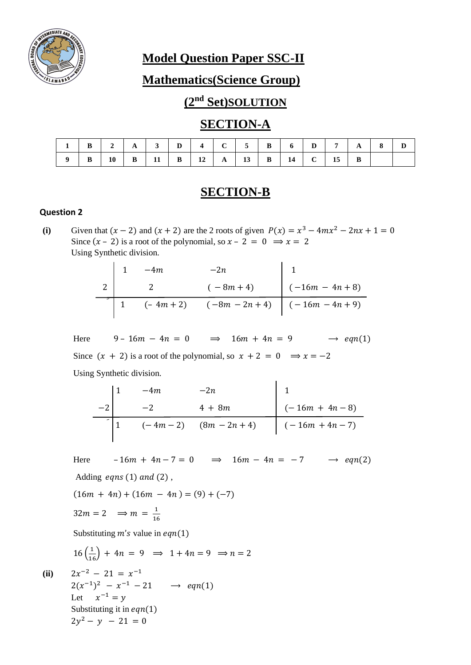

**Model Question Paper SSC-II**

**Mathematics(Science Group)**

# **(2nd Set)SOLUTION**

### **SECTION-A**

|  |  |  |  |  |  | $1 \mid B \mid 2 \mid A \mid 3 \mid D \mid 4 \mid C \mid 5 \mid B \mid 6 \mid D \mid 7 \mid A \mid 8 \mid D$ |  |  |
|--|--|--|--|--|--|--------------------------------------------------------------------------------------------------------------|--|--|
|  |  |  |  |  |  | 9   B   10   B   11   B   12   A   13   B   14   C   15   B                                                  |  |  |

## **SECTION-B**

#### **Question 2**

(i) Given that  $(x - 2)$  and  $(x + 2)$  are the 2 roots of given  $P(x) = x^3 - 4mx^2 - 2nx + 1 = 0$ Since  $(x - 2)$  is a root of the polynomial, so  $x - 2 = 0 \implies x = 2$ Using Synthetic division.

|  | $-4m$ | $-2n$                                          |                             |
|--|-------|------------------------------------------------|-----------------------------|
|  |       | $(-8m + 4)$                                    | $\Big( -16m - 4n + 8 \Big)$ |
|  |       | $(-4m + 2)$ $(-8m - 2n + 4)$ $(-16m - 4n + 9)$ |                             |

Here 9 –  $16m - 4n = 0$   $\Rightarrow$   $16m + 4n = 9$   $\Rightarrow$   $eqn(1)$ Since  $(x + 2)$  is a root of the polynomial, so  $x + 2 = 0 \implies x = -2$ Using Synthetic division.

$$
\begin{array}{c|cccc}\n & 1 & -4m & -2n & 1 \\
 & -2 & 4 + 8m & (-16m + 4n - 8) \\
\hline\n & 1 & (-4m - 2) & (8m - 2n + 4) & (-16m + 4n - 7)\n\end{array}
$$

Here  $-16m + 4n - 7 = 0 \implies 16m - 4n = -7 \implies eqn(2)$ Adding  $eqns(1)$  and  $(2)$ ,

 $(16m + 4n) + (16m - 4n) = (9) + (-7)$ 

 $32m = 2 \implies m = \frac{1}{16}$ 16

Substituting  $m's$  value in  $eqn(1)$ 

$$
16\left(\frac{1}{16}\right) + 4n = 9 \implies 1 + 4n = 9 \implies n = 2
$$

(ii) 
$$
2x^{-2} - 21 = x^{-1}
$$
  
\n $2(x^{-1})^2 - x^{-1} - 21 \rightarrow eqn(1)$   
\nLet  $x^{-1} = y$   
\nSubstituting it in eqn(1)  
\n $2y^2 - y - 21 = 0$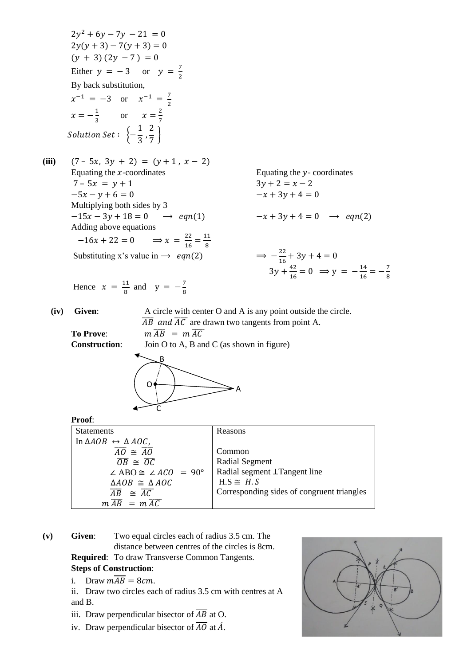

- **(v) Given**: Two equal circles each of radius 3.5 cm. The distance between centres of the circles is 8cm. **Required**: To draw Transverse Common Tangents. **Steps of Construction**:
	- i. Draw  $m\overline{AB} = 8cm$ .
	- ii. Draw two circles each of radius 3.5 cm with centres at A and B.
	- iii. Draw perpendicular bisector of  $\overline{AB}$  at O.
	- iv. Draw perpendicular bisector of  $\overline{AO}$  at  $\acute{A}$ .

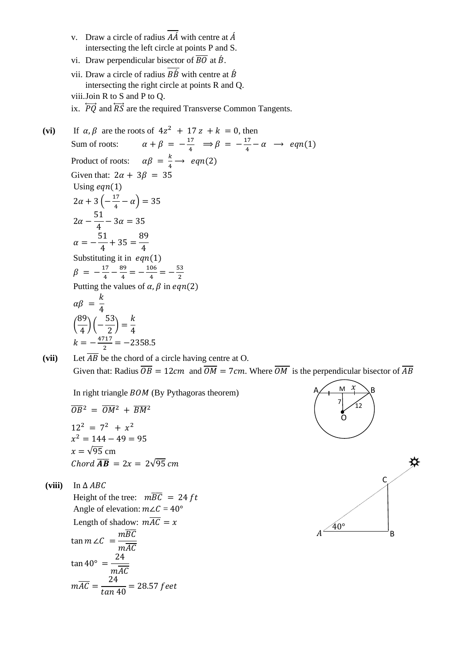- v. Draw a circle of radius  $\overline{A}\overline{A}$  with centre at  $\overline{A}$ intersecting the left circle at points P and S.
- vi. Draw perpendicular bisector of  $\overline{BO}$  at  $\overline{B}$ .
- vii. Draw a circle of radius  $\overline{B\hat{B}}$  with centre at  $\hat{B}$ intersecting the right circle at points R and Q.
- viii.Join R to S and P to Q.
- ix.  $\overrightarrow{PO}$  and  $\overrightarrow{RS}$  are the required Transverse Common Tangents.

(vi) If  $\alpha, \beta$  are the roots of  $4z^2 + 17z + k = 0$ , then Sum of roots:  $\alpha + \beta = -\frac{17}{4}$  $\frac{17}{4}$   $\Rightarrow \beta = -\frac{17}{4}$  $\frac{17}{4} - \alpha \rightarrow eqn(1)$ Product of roots:  $\alpha\beta = \frac{k}{4}$  $\frac{\kappa}{4} \rightarrow eqn(2)$ Given that:  $2\alpha + 3\beta = 35$ Using  $eqn(1)$  $2\alpha + 3 \left(-\frac{17}{4}\right)$  $\frac{17}{4} - \alpha$ ) = 35  $2\alpha$  – 51  $\frac{1}{4} - 3\alpha = 35$  $\alpha = -$ 51  $\frac{1}{4}$  + 35 = 89 4 Substituting it in  $eqn(1)$  $\beta = -\frac{17}{4}$  $\frac{17}{4} - \frac{89}{4}$  $\frac{39}{4} = -\frac{106}{4}$  $\frac{06}{4} = -\frac{53}{2}$  $\frac{35}{2}$ Putting the values of  $\alpha$ ,  $\beta$  in ean(2)  $\alpha\beta =$  $\boldsymbol{k}$ 4 ( 89  $\frac{1}{4}$ ) (-53  $\left(\frac{1}{2}\right)$  =  $\boldsymbol{k}$ 4  $k = -\frac{4717}{3}$  $\frac{11}{2}$  = -2358.5

(vii) Let  $\overline{AB}$  be the chord of a circle having centre at O. Given that: Radius  $\overline{OB} = 12 \, \text{cm}$  and  $\overline{OM} = 7 \, \text{cm}$ . Where  $\overline{OM}$  is the perpendicular bisector of  $\overline{AB}$ 

In right triangle  $BOM$  (By Pythagoras theorem)

$$
\overline{OB^2} = \overline{OM^2} + \overline{BM^2}
$$
  
\n
$$
12^2 = 7^2 + x^2
$$
  
\n
$$
x^2 = 144 - 49 = 95
$$
  
\n
$$
x = \sqrt{95} \text{ cm}
$$
  
\nChord  $\overline{AB} = 2x = 2\sqrt{95} \text{ cm}$ 

**(viii)** In ∆

Height of the tree:  $m\overline{BC} = 24 ft$ Angle of elevation:  $m\angle C = 40^{\circ}$ Length of shadow:  $m\overline{AC} = x$ tan  $m \angle C =$  $m\overline{BC}$  $mAC$  $\tan 40^{\circ} =$ 24  $mAC$  $mAC =$ 24  $\frac{1}{\tan 40}$  = 28.57 feet



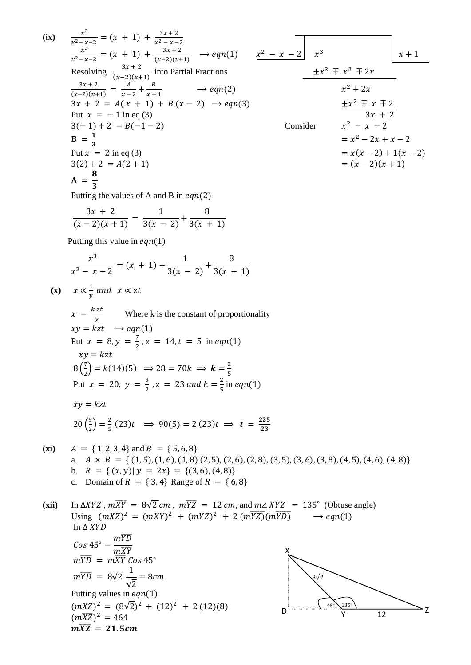(ix) 
$$
\frac{x^2}{x^2+x^2} = (x + 1) + \frac{x^2+x^2}{(x^2+2)(x+1)}
$$
 → eqn(1)  $\frac{x^2-x-2}{x^2-x^2}$  x<sup>2</sup>  
\nx+2  
\nResolving  $\frac{3x+2}{(x-2)(x+1)}$  into Partial Fractions  
\n $\frac{3x+2}{(x-2)(x+1)} = \frac{A}{x-2} + \frac{B}{x+1}$  → eqn(2)  
\n $3x + 2 = A(x + 1) + B(x - 2) \rightarrow eqn(3)$   
\n $3x-12 = A(x + 1) + B(x - 2) \rightarrow eqn(3)$   
\n $3x-12 = A(x + 1) + B(x - 2) \rightarrow eqn(3)$   
\n $= x^2 - 2x + x - 2$   
\n $= 1$   
\nPut  $x = 2$  in eq. (3)  
\n $3(2) + 2 = B(-1 - 2)$   
\n $= 3$   
\nPut  $x = 2$  in eq. (4)  
\n $3(2) + 2 = A(2 + 1)$   
\n $= (x - 2)(x + 1)$   
\n $= (x - 2)(x + 1)$   
\n $= (x - 2)(x + 1)$   
\n $= (x - 2)(x + 1)$   
\nPutting this value in eqn(1)  
\n $\frac{x^3}{x^2 - x - 2} = (x + 1) + \frac{1}{3(x - 2)} + \frac{8}{3(x + 1)}$   
\n $\frac{x^3}{x^2 - x - 2} = (x + 1) + \frac{1}{3(x - 2)} + \frac{8}{3(x + 1)}$   
\n $\frac{x}{x^2 - x - 2} = (x + 1) + \frac{1}{3(x - 2)} + \frac{8}{3(x + 1)}$   
\n $\frac{x}{x^2 - x - 2} = (x + 1) + \frac{1}{3(x - 2)} + \frac{8}{3(x + 1)}$   
\n $\frac{x}{x^2 - x - 2} = (x + 1) + \frac{1}{3(x - 2)} + \frac{8}{3(x + 1)}$   
\n $\frac{x}{x^2 - x - 2} = (x$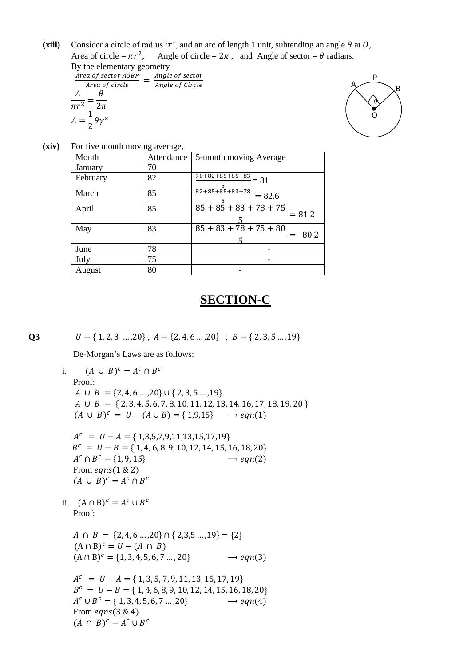(**xiii**) Consider a circle of radius 'r', and an arc of length 1 unit, subtending an angle  $\theta$  at  $0$ , Area of circle =  $\pi r^2$ Angle of circle =  $2\pi$ , and Angle of sector =  $\theta$  radians. By the elementary geometry

| $\mathbf{D}$ y and did $\mathbf{C}$ and $\mathbf{C}$ and $\mathbf{C}$ and $\mathbf{C}$ |                 |  |  |
|----------------------------------------------------------------------------------------|-----------------|--|--|
| Area of sector AOBP                                                                    | Angle of sector |  |  |
| Area of circle                                                                         | Angle of Circle |  |  |
|                                                                                        |                 |  |  |
| $\pi r^2$<br>$2\pi$                                                                    |                 |  |  |
| $=\frac{1}{2}\theta\gamma$                                                             |                 |  |  |



**(xiv)** For five month moving average,

| Month    | Attendance | 5-month moving Average                      |
|----------|------------|---------------------------------------------|
| January  | 70         |                                             |
| February | 82         | $\frac{70+82+85+85+83}{2} = 81$             |
| March    | 85         | $82+85+85+83+78$<br>$= 82.6$                |
| April    | 85         | $85 + 85 + 83 + 78 + 75$<br>$= 81.2$        |
| May      | 83         | $\overline{85 + 83 + 78 + 75 + 80}$<br>80.2 |
| June     | 78         |                                             |
| July     | 75         |                                             |
| August   | 80         |                                             |

## **SECTION-C**

**Q3**  $U = \{ 1, 2, 3, ..., 20 \}$ ;  $A = \{ 2, 4, 6, ..., 20 \}$ ;  $B = \{ 2, 3, 5, ..., 19 \}$ 

De-Morgan's Laws are as follows:

i.  $(A \cup B)^c = A^c \cap B^c$ Proof:  $A \cup B = \{2, 4, 6 \ldots, 20\} \cup \{2, 3, 5 \ldots, 19\}$  $A \cup B = \{2, 3, 4, 5, 6, 7, 8, 10, 11, 12, 13, 14, 16, 17, 18, 19, 20\}$  $(A \cup B)^c = U - (A \cup B) = \{1,9,15\} \longrightarrow eqn(1)$ 

 $A^{c} = U - A = \{ 1,3,5,7,9,11,13,15,17,19 \}$  $B<sup>c</sup> = U - B = \{ 1, 4, 6, 8, 9, 10, 12, 14, 15, 16, 18, 20 \}$  $A^c \cap B^c = \{1, 9, 15\} \rightarrow eqn(2)$ From  $eqns(1 \& 2)$  $(A \cup B)^c = A^c \cap B^c$ 

ii.  $(A \cap B)^c = A^c \cup B^c$ Proof:

 $A \cap B = \{2, 4, 6, \ldots, 20\} \cap \{2, 3, 5, \ldots, 19\} = \{2\}$  $(A \cap B)^c = U - (A \cap B)$  $(A \cap B)^c = \{1, 3, 4, 5, 6, 7, ..., 20\} \rightarrow eqn(3)$ 

 $A^{c} = U - A = \{ 1, 3, 5, 7, 9, 11, 13, 15, 17, 19 \}$  $B<sup>c</sup> = U - B = \{ 1, 4, 6, 8, 9, 10, 12, 14, 15, 16, 18, 20 \}$  $A^c \cup B^c = \{ 1, 3, 4, 5, 6, 7 \dots, 20 \} \longrightarrow eqn(4)$ From  $eqns(3 \& 4)$  $(A \cap B)^c = A^c \cup B^c$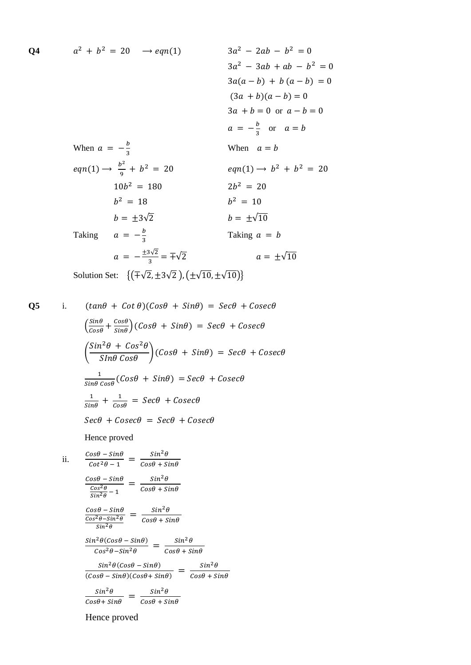$$
a^{2} + b^{2} = 20 \rightarrow eqn(1)
$$
  
\n
$$
3a^{2} - 2ab - b^{2} = 0
$$
  
\n
$$
3a^{2} - 3ab + ab - b^{2} = 0
$$
  
\n
$$
3a(a - b) + b(a - b) = 0
$$
  
\n
$$
(3a + b)(a - b) = 0
$$
  
\n
$$
3a + b = 0 \text{ or } a - b = 0
$$
  
\n
$$
a = -\frac{b}{3} \text{ or } a = b
$$
  
\nWhen  $a = b$   
\n
$$
eqn(1) \rightarrow \frac{b^{2}}{9} + b^{2} = 20
$$
  
\n
$$
10b^{2} = 180
$$
  
\n
$$
b = \pm 3\sqrt{2}
$$
  
\n
$$
a = -\frac{b}{3}
$$
  
\n
$$
a = \pm \sqrt{10}
$$
  
\nTaking  $a = -\frac{b}{3}$   
\nTaking  $a = -\frac{b}{3}$   
\n
$$
a = -\frac{\pm 3\sqrt{2}}{3} = \pm \sqrt{2}
$$
  
\n
$$
a = \pm \sqrt{10}
$$
  
\nSolution Set: { $(\mp \sqrt{2}, \pm 3\sqrt{2}), (\pm \sqrt{10}, \pm \sqrt{10})$ }

**Q4**

Q5 i. 
$$
(tan\theta + Cot\theta)(Cos\theta + Sin\theta) = Sec\theta + Cosec\theta
$$
  
\n $\left(\frac{sin\theta}{cos\theta} + \frac{cos\theta}{sin\theta}\right)(Cos\theta + Sin\theta) = Sec\theta + Cosec\theta$   
\n $\left(\frac{Sin^2\theta + Cos^2\theta}{Sin\theta Cos\theta}\right)(Cos\theta + Sin\theta) = Sec\theta + Cosec\theta$   
\n $\frac{1}{sin\theta Cos\theta}(Cos\theta + Sin\theta) = Sec\theta + Cosec\theta$   
\n $\frac{1}{sin\theta} + \frac{1}{cos\theta} = Sec\theta + Cosec\theta$   
\n $Sec\theta + Cosec\theta = Sec\theta + Cosec\theta$   
\nHence proved  
\nii.  $\frac{Cos\theta - Sin\theta}{cot^2\theta - 1} = \frac{Sin^2\theta}{Cos\theta + Sin\theta}$   
\n $\frac{Cos\theta - Sin\theta}{sin^2\theta} = \frac{Sin^2\theta}{Cos\theta + Sin\theta}$ 

 $=\frac{sin^2\theta}{cos\theta + \theta}$  $Cos\theta + Sin\theta$ 

 $\frac{i^2\theta(cos\theta - sin\theta)}{cos^2\theta - sin^2\theta} = \frac{sin^2\theta}{cos\theta + s}$ 

 $\frac{sin^2\theta(cos\theta - sin\theta)}{(cos\theta - sin\theta)(cos\theta + sin\theta)} = \frac{sin^2\theta}{cos\theta + s}$ 

 $Cos\theta + Sin\theta$ 

 $Cos\theta + Sin\theta$ 

 $Cos\theta + Sin\theta$ 

Hence proved

 $sin^2\theta$ 

 $Cos\theta-Sin\theta$  $\overline{\cos^2\theta - \sin^2\theta}$  $sin^2\theta$ 

 $Sin^2\theta(Cos\theta-Sin\theta)$ 

 $\sin^2\theta(\cos\theta - \sin\theta)$ 

 $\frac{\sin^2\theta}{\cos\theta + \sin\theta} = \frac{\sin^2\theta}{\cos\theta + \sin\theta}$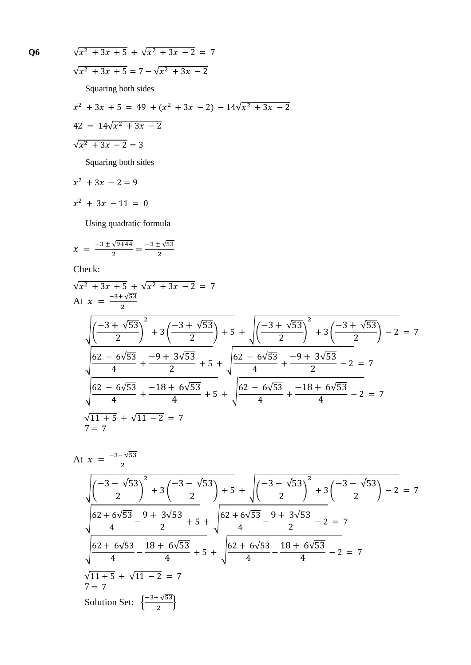$$
\sqrt{x^2 + 3x + 5} + \sqrt{x^2 + 3x - 2} = 7
$$
  

$$
\sqrt{x^2 + 3x + 5} = 7 - \sqrt{x^2 + 3x - 2}
$$
  
Squaring both sides  

$$
x^2 + 3x + 5 = 49 + (x^2 + 3x - 2) - 14\sqrt{x^2 + 3x - 2}
$$
  

$$
42 = 14\sqrt{x^2 + 3x - 2}
$$
  

$$
\sqrt{x^2 + 3x - 2} = 3
$$
  
Squaring both sides

$$
x^2 + 3x - 2 = 9
$$

$$
x^2 + 3x - 11 = 0
$$

Using quadratic formula

$$
x = \frac{-3 \pm \sqrt{9 + 44}}{2} = \frac{-3 \pm \sqrt{53}}{2}
$$

Check:

$$
\sqrt{x^2 + 3x + 5} + \sqrt{x^2 + 3x - 2} = 7
$$
\nAt  $x = \frac{-3 + \sqrt{53}}{2}$ \n
$$
\sqrt{\left(\frac{-3 + \sqrt{53}}{2}\right)^2 + 3\left(\frac{-3 + \sqrt{53}}{2}\right) + 5} + \sqrt{\left(\frac{-3 + \sqrt{53}}{2}\right)^2 + 3\left(\frac{-3 + \sqrt{53}}{2}\right) - 2} = 7
$$
\n
$$
\frac{62 - 6\sqrt{53}}{4} + \frac{-9 + 3\sqrt{53}}{2} + 5 + \sqrt{\frac{62 - 6\sqrt{53}}{4} + \frac{-9 + 3\sqrt{53}}{2} - 2} = 7
$$
\n
$$
\sqrt{\frac{62 - 6\sqrt{53}}{4} + \frac{-18 + 6\sqrt{53}}{4} + 5} + \sqrt{\frac{62 - 6\sqrt{53}}{4} + \frac{-18 + 6\sqrt{53}}{4} - 2} = 7
$$
\n
$$
\sqrt{11 + 5} + \sqrt{11 - 2} = 7
$$
\n
$$
7 = 7
$$

At 
$$
x = \frac{-3-\sqrt{53}}{2}
$$
  
\n
$$
\sqrt{\left(\frac{-3-\sqrt{53}}{2}\right)^2 + 3\left(\frac{-3-\sqrt{53}}{2}\right) + 5 + \sqrt{\left(\frac{-3-\sqrt{53}}{2}\right)^2 + 3\left(\frac{-3-\sqrt{53}}{2}\right) - 2} = 7
$$
\n
$$
\frac{62+6\sqrt{53}}{4} - \frac{9+3\sqrt{53}}{2} + 5 + \sqrt{\frac{62+6\sqrt{53}}{4} - \frac{9+3\sqrt{53}}{2} - 2} = 7
$$
\n
$$
\sqrt{\frac{62+6\sqrt{53}}{4} - \frac{18+6\sqrt{53}}{4} + 5 + \sqrt{\frac{62+6\sqrt{53}}{4} - \frac{18+6\sqrt{53}}{4} - 2} = 7
$$
\n
$$
\sqrt{11+5} + \sqrt{11-2} = 7
$$
\nSolution Set: 
$$
\left\{\frac{-3+\sqrt{53}}{2}\right\}
$$

**Q6** √